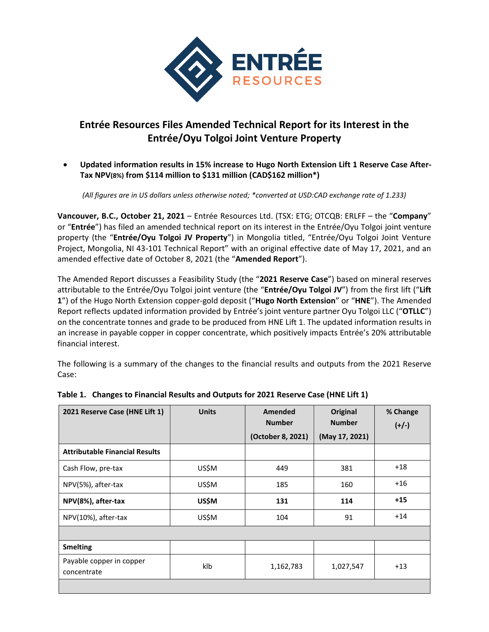

# **Entrée Resources Files Amended Technical Report for its Interest in the Entrée/Oyu Tolgoi Joint Venture Property**

• **Updated information results in 15% increase to Hugo North Extension Lift 1 Reserve Case After-Tax NPV(8%) from \$114 million to \$131 million (CAD\$162 million\*)**

*(All figures are in US dollars unless otherwise noted; \*converted at USD:CAD exchange rate of 1.233)*

**Vancouver, B.C., October 21, 2021** – Entrée Resources Ltd. (TSX: ETG; OTCQB: ERLFF – the "**Company**" or "**Entrée**") has filed an amended technical report on its interest in the Entrée/Oyu Tolgoi joint venture property (the "**Entrée/Oyu Tolgoi JV Property**") in Mongolia titled, "Entrée/Oyu Tolgoi Joint Venture Project, Mongolia, NI 43-101 Technical Report" with an original effective date of May 17, 2021, and an amended effective date of October 8, 2021 (the "**Amended Report**").

The Amended Report discusses a Feasibility Study (the "**2021 Reserve Case**") based on mineral reserves attributable to the Entrée/Oyu Tolgoi joint venture (the "**Entrée/Oyu Tolgoi JV**") from the first lift ("**Lift 1**") of the Hugo North Extension copper-gold deposit ("**Hugo North Extension**" or "**HNE**"). The Amended Report reflects updated information provided by Entrée's joint venture partner Oyu Tolgoi LLC ("**OTLLC**") on the concentrate tonnes and grade to be produced from HNE Lift 1. The updated information results in an increase in payable copper in copper concentrate, which positively impacts Entrée's 20% attributable financial interest.

The following is a summary of the changes to the financial results and outputs from the 2021 Reserve Case:

| 2021 Reserve Case (HNE Lift 1)          | <b>Units</b> | Amended<br><b>Number</b><br>(October 8, 2021) | Original<br><b>Number</b><br>(May 17, 2021) | % Change<br>$(+/-)$ |
|-----------------------------------------|--------------|-----------------------------------------------|---------------------------------------------|---------------------|
| <b>Attributable Financial Results</b>   |              |                                               |                                             |                     |
| Cash Flow, pre-tax                      | US\$M        | 449                                           | 381                                         | $+18$               |
| NPV(5%), after-tax                      | US\$M        | 185                                           | 160                                         | $+16$               |
| NPV(8%), after-tax                      | US\$M        | 131                                           | 114                                         | $+15$               |
| NPV(10%), after-tax                     | US\$M        | 104                                           | 91                                          | $+14$               |
|                                         |              |                                               |                                             |                     |
| <b>Smelting</b>                         |              |                                               |                                             |                     |
| Payable copper in copper<br>concentrate | klb          | 1,162,783                                     | 1,027,547                                   | $+13$               |
|                                         |              |                                               |                                             |                     |

# **Table 1. Changes to Financial Results and Outputs for 2021 Reserve Case (HNE Lift 1)**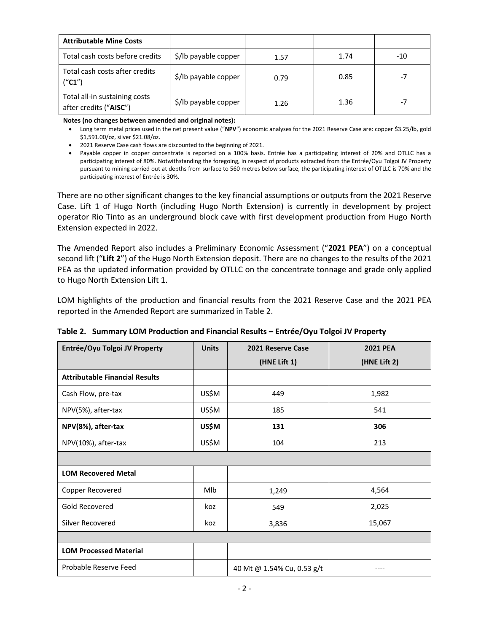| <b>Attributable Mine Costs</b>                          |                      |      |      |      |
|---------------------------------------------------------|----------------------|------|------|------|
| Total cash costs before credits                         | \$/lb payable copper | 1.57 | 1.74 | -10  |
| Total cash costs after credits<br>("C1")                | \$/lb payable copper | 0.79 | 0.85 | $-7$ |
| Total all-in sustaining costs<br>after credits ("AISC") | \$/lb payable copper | 1.26 | 1.36 | $-7$ |

**Notes (no changes between amended and original notes):**

- Long term metal prices used in the net present value ("**NPV**") economic analyses for the 2021 Reserve Case are: copper \$3.25/lb, gold \$1,591.00/oz, silver \$21.08/oz.
- 2021 Reserve Case cash flows are discounted to the beginning of 2021.
- Payable copper in copper concentrate is reported on a 100% basis. Entrée has a participating interest of 20% and OTLLC has a participating interest of 80%. Notwithstanding the foregoing, in respect of products extracted from the Entrée/Oyu Tolgoi JV Property pursuant to mining carried out at depths from surface to 560 metres below surface, the participating interest of OTLLC is 70% and the participating interest of Entrée is 30%.

There are no other significant changes to the key financial assumptions or outputs from the 2021 Reserve Case. Lift 1 of Hugo North (including Hugo North Extension) is currently in development by project operator Rio Tinto as an underground block cave with first development production from Hugo North Extension expected in 2022.

The Amended Report also includes a Preliminary Economic Assessment ("**2021 PEA**") on a conceptual second lift ("**Lift 2**") of the Hugo North Extension deposit. There are no changes to the results of the 2021 PEA as the updated information provided by OTLLC on the concentrate tonnage and grade only applied to Hugo North Extension Lift 1.

LOM highlights of the production and financial results from the 2021 Reserve Case and the 2021 PEA reported in the Amended Report are summarized in Table 2.

**Table 2. Summary LOM Production and Financial Results – Entrée/Oyu Tolgoi JV Property**

| Entrée/Oyu Tolgoi JV Property         | <b>Units</b> | 2021 Reserve Case          | <b>2021 PEA</b> |
|---------------------------------------|--------------|----------------------------|-----------------|
|                                       |              | (HNE Lift 1)               | (HNE Lift 2)    |
| <b>Attributable Financial Results</b> |              |                            |                 |
| Cash Flow, pre-tax                    | US\$M        | 449                        | 1,982           |
| NPV(5%), after-tax                    | US\$M        | 185                        | 541             |
| NPV(8%), after-tax                    | <b>US\$M</b> | 131                        | 306             |
| NPV(10%), after-tax                   | US\$M        | 104                        | 213             |
|                                       |              |                            |                 |
| <b>LOM Recovered Metal</b>            |              |                            |                 |
| Copper Recovered                      | <b>MIb</b>   | 1,249                      | 4,564           |
| Gold Recovered                        | koz          | 549                        | 2,025           |
| Silver Recovered                      | koz          | 3,836                      | 15,067          |
|                                       |              |                            |                 |
| <b>LOM Processed Material</b>         |              |                            |                 |
| Probable Reserve Feed                 |              | 40 Mt @ 1.54% Cu, 0.53 g/t |                 |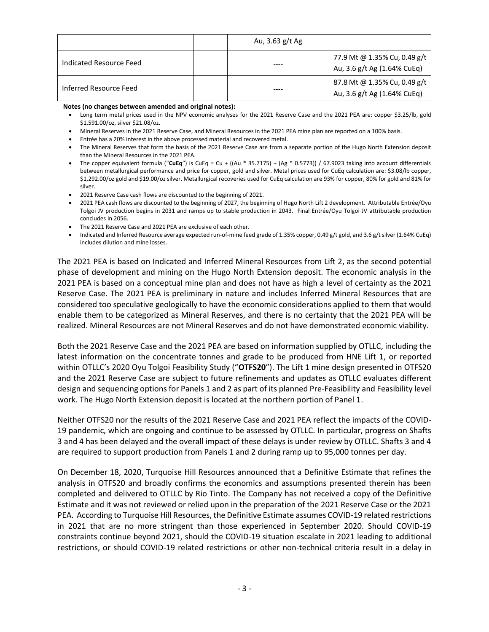|                         | Au, 3.63 g/t Ag |                                                             |
|-------------------------|-----------------|-------------------------------------------------------------|
| Indicated Resource Feed |                 | 77.9 Mt @ 1.35% Cu, 0.49 g/t<br>Au, 3.6 g/t Ag (1.64% CuEq) |
| Inferred Resource Feed  |                 | 87.8 Mt @ 1.35% Cu, 0.49 g/t<br>Au, 3.6 g/t Ag (1.64% CuEq) |

**Notes (no changes between amended and original notes):**

- Long term metal prices used in the NPV economic analyses for the 2021 Reserve Case and the 2021 PEA are: copper \$3.25/lb, gold \$1,591.00/oz, silver \$21.08/oz.
- Mineral Reserves in the 2021 Reserve Case, and Mineral Resources in the 2021 PEA mine plan are reported on a 100% basis.
- Entrée has a 20% interest in the above processed material and recovered metal.
- The Mineral Reserves that form the basis of the 2021 Reserve Case are from a separate portion of the Hugo North Extension deposit than the Mineral Resources in the 2021 PEA.
- The copper equivalent formula ("**CuEq**") is CuEq = Cu + ((Au \* 35.7175) + (Ag \* 0.5773)) / 67.9023 taking into account differentials between metallurgical performance and price for copper, gold and silver. Metal prices used for CuEq calculation are: \$3.08/lb copper, \$1,292.00/oz gold and \$19.00/oz silver. Metallurgical recoveries used for CuEq calculation are 93% for copper, 80% for gold and 81% for silver.
- 2021 Reserve Case cash flows are discounted to the beginning of 2021.
- 2021 PEA cash flows are discounted to the beginning of 2027, the beginning of Hugo North Lift 2 development. Attributable Entrée/Oyu Tolgoi JV production begins in 2031 and ramps up to stable production in 2043. Final Entrée/Oyu Tolgoi JV attributable production concludes in 2056.
- The 2021 Reserve Case and 2021 PEA are exclusive of each other.
- Indicated and Inferred Resource average expected run-of-mine feed grade of 1.35% copper, 0.49 g/t gold, and 3.6 g/t silver (1.64% CuEq) includes dilution and mine losses.

The 2021 PEA is based on Indicated and Inferred Mineral Resources from Lift 2, as the second potential phase of development and mining on the Hugo North Extension deposit. The economic analysis in the 2021 PEA is based on a conceptual mine plan and does not have as high a level of certainty as the 2021 Reserve Case. The 2021 PEA is preliminary in nature and includes Inferred Mineral Resources that are considered too speculative geologically to have the economic considerations applied to them that would enable them to be categorized as Mineral Reserves, and there is no certainty that the 2021 PEA will be realized. Mineral Resources are not Mineral Reserves and do not have demonstrated economic viability.

Both the 2021 Reserve Case and the 2021 PEA are based on information supplied by OTLLC, including the latest information on the concentrate tonnes and grade to be produced from HNE Lift 1, or reported within OTLLC's 2020 Oyu Tolgoi Feasibility Study ("**OTFS20**"). The Lift 1 mine design presented in OTFS20 and the 2021 Reserve Case are subject to future refinements and updates as OTLLC evaluates different design and sequencing options for Panels 1 and 2 as part of its planned Pre-Feasibility and Feasibility level work. The Hugo North Extension deposit is located at the northern portion of Panel 1.

Neither OTFS20 nor the results of the 2021 Reserve Case and 2021 PEA reflect the impacts of the COVID-19 pandemic, which are ongoing and continue to be assessed by OTLLC. In particular, progress on Shafts 3 and 4 has been delayed and the overall impact of these delays is under review by OTLLC. Shafts 3 and 4 are required to support production from Panels 1 and 2 during ramp up to 95,000 tonnes per day.

On December 18, 2020, Turquoise Hill Resources announced that a Definitive Estimate that refines the analysis in OTFS20 and broadly confirms the economics and assumptions presented therein has been completed and delivered to OTLLC by Rio Tinto. The Company has not received a copy of the Definitive Estimate and it was not reviewed or relied upon in the preparation of the 2021 Reserve Case or the 2021 PEA. According to Turquoise Hill Resources, the Definitive Estimate assumes COVID-19 related restrictions in 2021 that are no more stringent than those experienced in September 2020. Should COVID-19 constraints continue beyond 2021, should the COVID-19 situation escalate in 2021 leading to additional restrictions, or should COVID-19 related restrictions or other non-technical criteria result in a delay in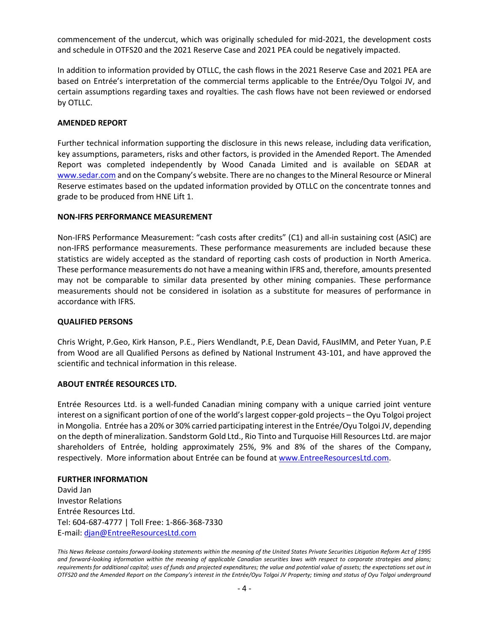commencement of the undercut, which was originally scheduled for mid-2021, the development costs and schedule in OTFS20 and the 2021 Reserve Case and 2021 PEA could be negatively impacted.

In addition to information provided by OTLLC, the cash flows in the 2021 Reserve Case and 2021 PEA are based on Entrée's interpretation of the commercial terms applicable to the Entrée/Oyu Tolgoi JV, and certain assumptions regarding taxes and royalties. The cash flows have not been reviewed or endorsed by OTLLC.

### **AMENDED REPORT**

Further technical information supporting the disclosure in this news release, including data verification, key assumptions, parameters, risks and other factors, is provided in the Amended Report. The Amended Report was completed independently by Wood Canada Limited and is available on SEDAR at [www.sedar.com](http://www.sedar.com/) and on the Company's website. There are no changes to the Mineral Resource or Mineral Reserve estimates based on the updated information provided by OTLLC on the concentrate tonnes and grade to be produced from HNE Lift 1.

### **NON-IFRS PERFORMANCE MEASUREMENT**

Non-IFRS Performance Measurement: "cash costs after credits" (C1) and all-in sustaining cost (ASIC) are non-IFRS performance measurements. These performance measurements are included because these statistics are widely accepted as the standard of reporting cash costs of production in North America. These performance measurements do not have a meaning within IFRS and, therefore, amounts presented may not be comparable to similar data presented by other mining companies. These performance measurements should not be considered in isolation as a substitute for measures of performance in accordance with IFRS.

#### **QUALIFIED PERSONS**

Chris Wright, P.Geo, Kirk Hanson, P.E., Piers Wendlandt, P.E, Dean David, FAusIMM, and Peter Yuan, P.E from Wood are all Qualified Persons as defined by National Instrument 43-101, and have approved the scientific and technical information in this release.

## **ABOUT ENTRÉE RESOURCES LTD.**

Entrée Resources Ltd. is a well-funded Canadian mining company with a unique carried joint venture interest on a significant portion of one of the world's largest copper-gold projects – the Oyu Tolgoi project in Mongolia. Entrée has a 20% or 30% carried participating interest in the Entrée/Oyu Tolgoi JV, depending on the depth of mineralization. Sandstorm Gold Ltd., Rio Tinto and Turquoise Hill Resources Ltd. are major shareholders of Entrée, holding approximately 25%, 9% and 8% of the shares of the Company, respectively. More information about Entrée can be found at [www.EntreeResourcesLtd.com.](http://www.entreeresourcesltd.com/)

#### **FURTHER INFORMATION**

David Jan Investor Relations Entrée Resources Ltd. Tel: 604-687-4777 | Toll Free: 1-866-368-7330 E-mail: [djan@EntreeResourcesLtd.com](mailto:djan@EntreeResourcesLtd.com)

*This News Release contains forward-looking statements within the meaning of the United States Private Securities Litigation Reform Act of 1995 and forward-looking information within the meaning of applicable Canadian securities laws with respect to corporate strategies and plans; requirements for additional capital; uses of funds and projected expenditures; the value and potential value of assets; the expectations set out in OTFS20 and the Amended Report on the Company's interest in the Entrée/Oyu Tolgoi JV Property; timing and status of Oyu Tolgoi underground*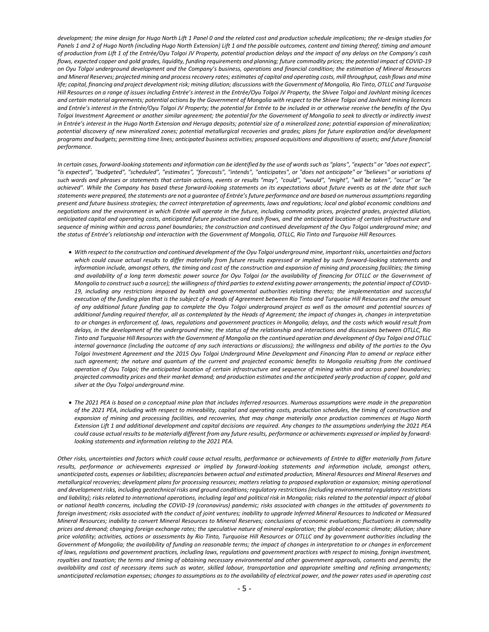*development; the mine design for Hugo North Lift 1 Panel 0 and the related cost and production schedule implications; the re-design studies for*  Panels 1 and 2 of Hugo North (including Hugo North Extension) Lift 1 and the possible outcomes, content and timing thereof; timing and amount *of production from Lift 1 of the Entrée/Oyu Tolgoi JV Property, potential production delays and the impact of any delays on the Company's cash flows, expected copper and gold grades, liquidity, funding requirements and planning; future commodity prices; the potential impact of COVID-19 on Oyu Tolgoi underground development and the Company's business, operations and financial condition; the estimation of Mineral Resources and Mineral Reserves; projected mining and process recovery rates; estimates of capital and operating costs, mill throughput, cash flows and mine*  life; capital, financing and project development risk; mining dilution; discussions with the Government of Mongolia, Rio Tinto, OTLLC and Turquoise *Hill Resources on a range of issues including Entrée's interest in the Entrée/Oyu Tolgoi JV Property, the Shivee Tolgoi and Javhlant mining licences and certain material agreements; potential actions by the Government of Mongolia with respect to the Shivee Tolgoi and Javhlant mining licences and Entrée's interest in the Entrée/Oyu Tolgoi JV Property; the potential for Entrée to be included in or otherwise receive the benefits of the Oyu Tolgoi Investment Agreement or another similar agreement; the potential for the Government of Mongolia to seek to directly or indirectly invest in Entrée's interest in the Hugo North Extension and Heruga deposits; potential size of a mineralized zone; potential expansion of mineralization; potential discovery of new mineralized zones; potential metallurgical recoveries and grades; plans for future exploration and/or development programs and budgets; permitting time lines; anticipated business activities; proposed acquisitions and dispositions of assets; and future financial performance.*

*In certain cases, forward-looking statements and information can be identified by the use of words such as "plans", "expects" or "does not expect", "is expected", "budgeted", "scheduled", "estimates", "forecasts", "intends", "anticipates", or "does not anticipate" or "believes" or variations of such words and phrases or statements that certain actions, events or results "may", "could", "would", "might", "will be taken", "occur" or "be achieved". While the Company has based these forward-looking statements on its expectations about future events as at the date that such statements were prepared, the statements are not a guarantee of Entrée's future performance and are based on numerous assumptions regarding present and future business strategies; the correct interpretation of agreements, laws and regulations; local and global economic conditions and negotiations and the environment in which Entrée will operate in the future, including commodity prices, projected grades, projected dilution, anticipated capital and operating costs, anticipated future production and cash flows, and the anticipated location of certain infrastructure and sequence of mining within and across panel boundaries; the construction and continued development of the Oyu Tolgoi underground mine; and the status of Entrée's relationship and interaction with the Government of Mongolia, OTLLC, Rio Tinto and Turquoise Hill Resources.*

- *With respect to the construction and continued development of the Oyu Tolgoi underground mine, important risks, uncertainties and factors which could cause actual results to differ materially from future results expressed or implied by such forward-looking statements and*  information include, amongst others, the timing and cost of the construction and expansion of mining and processing facilities; the timing *and availability of a long term domestic power source for Oyu Tolgoi (or the availability of financing for OTLLC or the Government of Mongolia to construct such a source); the willingness of third parties to extend existing power arrangements; the potential impact of COVID-19, including any restrictions imposed by health and governmental authorities relating thereto; the implementation and successful execution of the funding plan that is the subject of a Heads of Agreement between Rio Tinto and Turquoise Hill Resources and the amount of any additional future funding gap to complete the Oyu Tolgoi underground project as well as the amount and potential sources of additional funding required therefor, all as contemplated by the Heads of Agreement; the impact of changes in, changes in interpretation to or changes in enforcement of, laws, regulations and government practices in Mongolia; delays, and the costs which would result from delays, in the development of the underground mine; the status of the relationship and interactions and discussions between OTLLC, Rio Tinto and Turquoise Hill Resources with the Government of Mongolia on the continued operation and development of Oyu Tolgoi and OTLLC internal governance (including the outcome of any such interactions or discussions); the willingness and ability of the parties to the Oyu Tolgoi Investment Agreement and the 2015 Oyu Tolgoi Underground Mine Development and Financing Plan to amend or replace either such agreement; the nature and quantum of the current and projected economic benefits to Mongolia resulting from the continued operation of Oyu Tolgoi; the anticipated location of certain infrastructure and sequence of mining within and across panel boundaries; projected commodity prices and their market demand; and production estimates and the anticipated yearly production of copper, gold and silver at the Oyu Tolgoi underground mine.*
- *The 2021 PEA is based on a conceptual mine plan that includes Inferred resources. Numerous assumptions were made in the preparation of the 2021 PEA, including with respect to mineability, capital and operating costs, production schedules, the timing of construction and expansion of mining and processing facilities, and recoveries, that may change materially once production commences at Hugo North Extension Lift 1 and additional development and capital decisions are required. Any changes to the assumptions underlying the 2021 PEA could cause actual results to be materially different from any future results, performance or achievements expressed or implied by forwardlooking statements and information relating to the 2021 PEA.*

*Other risks, uncertainties and factors which could cause actual results, performance or achievements of Entrée to differ materially from future results, performance or achievements expressed or implied by forward-looking statements and information include, amongst others, unanticipated costs, expenses or liabilities; discrepancies between actual and estimated production, Mineral Resources and Mineral Reserves and metallurgical recoveries; development plans for processing resources; matters relating to proposed exploration or expansion; mining operational and development risks, including geotechnical risks and ground conditions; regulatory restrictions (including environmental regulatory restrictions and liability); risks related to international operations, including legal and political risk in Mongolia; risks related to the potential impact of global or national health concerns, including the COVID-19 (coronavirus) pandemic; risks associated with changes in the attitudes of governments to foreign investment; risks associated with the conduct of joint ventures; inability to upgrade Inferred Mineral Resources to Indicated or Measured Mineral Resources; inability to convert Mineral Resources to Mineral Reserves; conclusions of economic evaluations; fluctuations in commodity prices and demand; changing foreign exchange rates; the speculative nature of mineral exploration; the global economic climate; dilution; share price volatility; activities, actions or assessments by Rio Tinto, Turquoise Hill Resources or OTLLC and by government authorities including the Government of Mongolia; the availability of funding on reasonable terms; the impact of changes in interpretation to or changes in enforcement of laws, regulations and government practices, including laws, regulations and government practices with respect to mining, foreign investment, royalties and taxation; the terms and timing of obtaining necessary environmental and other government approvals, consents and permits; the availability and cost of necessary items such as water, skilled labour, transportation and appropriate smelting and refining arrangements; unanticipated reclamation expenses; changes to assumptions as to the availability of electrical power, and the power rates used in operating cost*